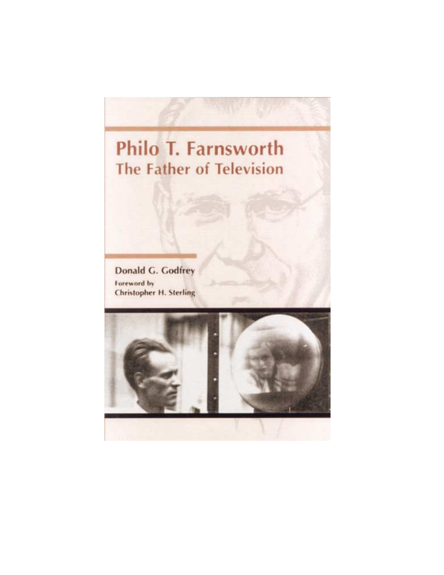# **Philo T. Farnsworth The Father of Television**

**Donald G. Godfrey** Foreword by **Christopher H. Sterling** 

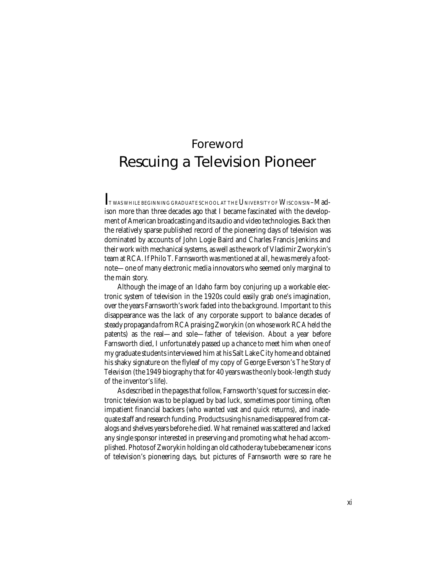# Foreword Rescuing a Television Pioneer

 $\Gamma$  twas while beginning graduate school at the University of Wisconsin–Madison more than three decades ago that I became fascinated with the development of American broadcasting and its audio and video technologies. Back then the relatively sparse published record of the pioneering days of television was dominated by accounts of John Logie Baird and Charles Francis Jenkins and their work with mechanical systems, as well as the work of Vladimir Zworykin's team at RCA. If Philo T. Farnsworth was mentioned at all, he was merely a footnote—one of many electronic media innovators who seemed only marginal to the main story.

Although the image of an Idaho farm boy conjuring up a workable electronic system of television in the 1920s could easily grab one's imagination, over the years Farnsworth's work faded into the background. Important to this disappearance was the lack of any corporate support to balance decades of steady propaganda from RCA praising Zworykin (on whose work RCA held the patents) as the real—and sole—father of television. About a year before Farnsworth died, I unfortunately passed up a chance to meet him when one of my graduate students interviewed him at his Salt Lake City home and obtained his shaky signature on the flyleaf of my copy of George Everson's *The Story of Television* (the 1949 biography that for 40 years was the only book-length study of the inventor's life).

As described in the pages that follow, Farnsworth's quest for success in electronic television was to be plagued by bad luck, sometimes poor timing, often impatient financial backers (who wanted vast and quick returns), and inadequate staff and research funding. Products using his name disappeared from catalogs and shelves years before he died. What remained was scattered and lacked any single sponsor interested in preserving and promoting what he had accomplished. Photos of Zworykin holding an old cathode ray tube became near icons of television's pioneering days, but pictures of Farnsworth were so rare he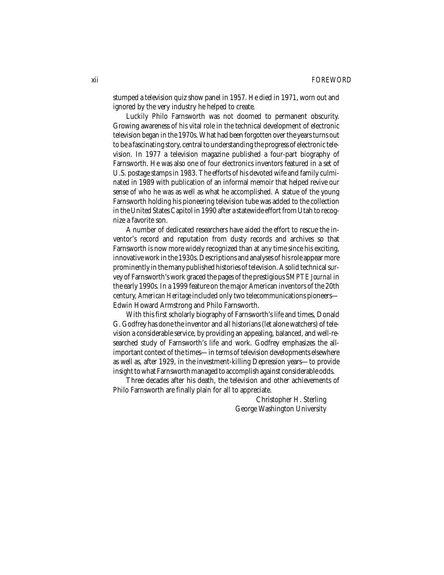stumped a television quiz show panel in 1957. He died in 1971, worn out and ignored by the very industry he helped to create.

Luckily Philo Farnsworth was not doomed to permanent obscurity. Growing awareness of his vital role in the technical development of electronic television began in the 1970s. What had been forgotten over the years turns out to be a fascinating story, central to understanding the progress of electronic television. In 1977 a television magazine published a four-part biography of Farnsworth. He was also one of four electronics inventors featured in a set of U.S. postage stamps in 1983. The efforts of his devoted wife and family culminated in 1989 with publication of an informal memoir that helped revive our sense of who he was as well as what he accomplished. A statue of the young Farnsworth holding his pioneering television tube was added to the collection in the United States Capitol in 1990 after a statewide effort from Utah to recognize a favorite son.

A number of dedicated researchers have aided the effort to rescue the inventor's record and reputation from dusty records and archives so that Farnsworth is now more widely recognized than at any time since his exciting, innovative work in the 1930s. Descriptions and analyses of his role appear more prominently in the many published histories of television. A solid technical survey of Farnsworth's work graced the pages of the prestigious *SMPTE Journal* in the early 1990s. In a 1999 feature on the major American inventors of the 20th century, *American Heritage* included only two telecommunications pioneers— Edwin Howard Armstrong and Philo Farnsworth.

With this first scholarly biography of Farnsworth's life and times, Donald G. Godfrey has done the inventor and all historians (let alone watchers) of television a considerable service, by providing an appealing, balanced, and well-researched study of Farnsworth's life and work. Godfrey emphasizes the allimportant context of the times—in terms of television developments elsewhere as well as, after 1929, in the investment-killing Depression years—to provide insight to what Farnsworth managed to accomplish against considerable odds.

Three decades after his death, the television and other achievements of Philo Farnsworth are finally plain for all to appreciate.

> Christopher H. Sterling George Washington University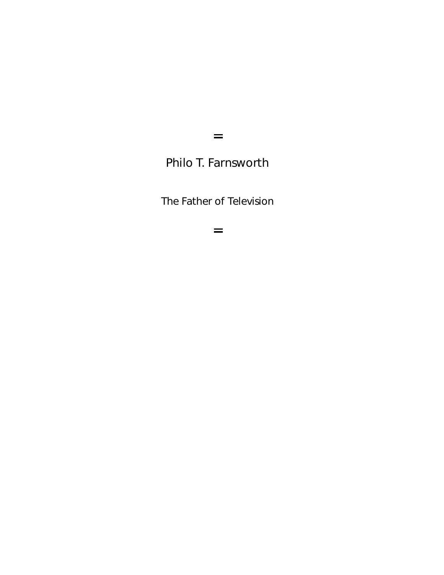$\equiv$ 

Philo T. Farnsworth

The Father of Television

 $=$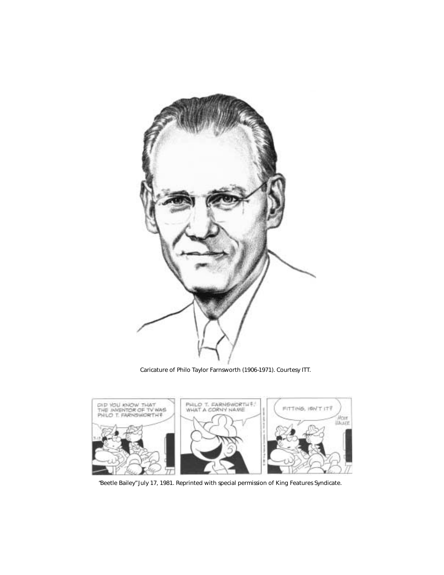

Caricature of Philo Taylor Farnsworth (1906–1971). Courtesy ITT.



"Beetle Bailey" July 17, 1981. Reprinted with special permission of King Features Syndicate.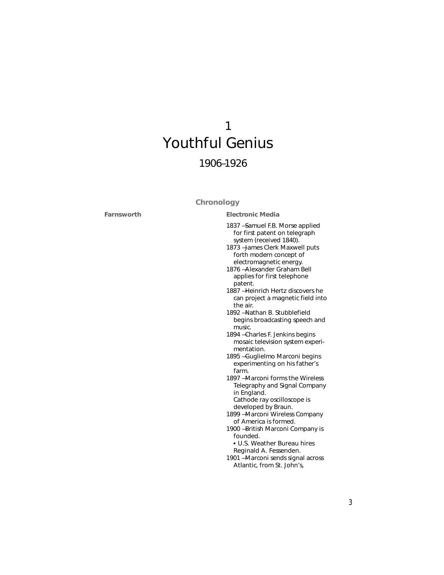# 1 Youthful Genius 1906–1926

# **Chronology**

**Farnsworth**

1837 — Samuel F.B. Morse applied for first patent on telegraph **Electronic Media**

- system (received 1840). 1873 — James Clerk Maxwell puts forth modern concept of electromagnetic energy.
- 1876 Alexander Graham Bell applies for first telephone patent.
- 1887 Heinrich Hertz discovers he can project a magnetic field into the air.
- 1892 Nathan B. Stubblefield begins broadcasting speech and music.
- 1894 Charles F. Jenkins begins mosaic television system experimentation.
- 1895 Guglielmo Marconi begins experimenting on his father's farm.
- 1897 Marconi forms the Wireless Telegraphy and Signal Company in England. Cathode ray oscilloscope is
- developed by Braun. 1899 — Marconi Wireless Company of America is formed.
- 1900 British Marconi Company is founded.
	- <sup>l</sup> U.S. Weather Bureau hires
	- Reginald A. Fessenden.
- 1901 Marconi sends signal across Atlantic, from St. John's,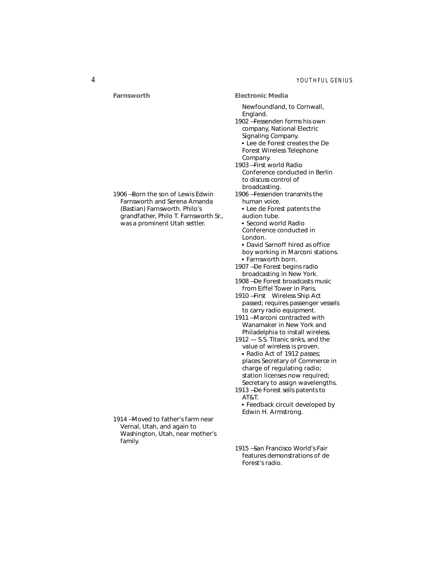**Farnsworth** 1906 — Born the son of Lewis Edwin Farnsworth and Serena Amanda (Bastian) Farnsworth. Philo's grandfather, Philo T. Farnsworth Sr., was a prominent Utah settler. 1914 — Moved to father's farm near Vernal, Utah, and again to Washington, Utah, near mother's family. Newfoundland, to Cornwall, England. 1902 — Fessenden forms his own company, National Electric Signaling Company. <sup>l</sup> Lee de Forest creates the De Forest Wireless Telephone Company. 1903 — First world Radio Conference conducted in Berlin to discuss control of broadcasting. 1906 — Fessenden transmits the human voice. <sup>l</sup> Lee de Forest patents the audion tube. <sup>l</sup> Second world Radio Conference conducted in London. • David Sarnoff hired as office boy working in Marconi stations. <sup>l</sup> Farnsworth born. 1907 — De Forest begins radio broadcasting in New York. 1908 — De Forest broadcasts music from Eiffel Tower in Paris. 1910 — First *Wireless Ship Act* passed; requires passenger vessels to carry radio equipment. 1911 — Marconi contracted with Wanamaker in New York and Philadelphia to install wireless. 1912 — *S.S. Titanic* sinks, and the value of wireless is proven. <sup>l</sup> *Radio Act of 1912* passes; places Secretary of Commerce in charge of regulating radio; station licenses now required; Secretary to assign wavelengths. 1913 — De Forest sells patents to AT&T. <sup>l</sup> Feedback circuit developed by Edwin H. Armstrong. 1915 — San Francisco World's Fair **Electronic Media**

features demonstrations of de

Forest's radio.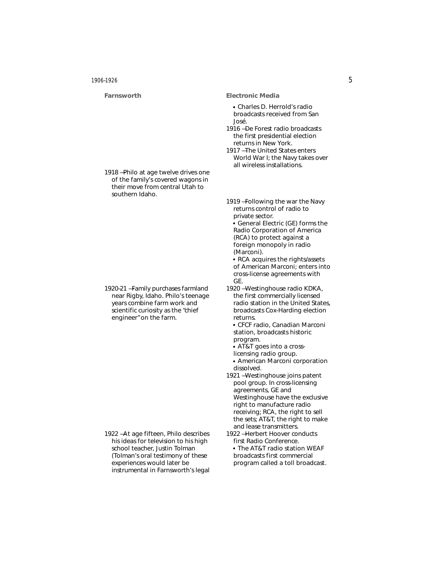#### **Farnsworth**

1918 — Philo at age twelve drives one of the family's covered wagons in their move from central Utah to

1920–21 — Family purchases farmland near Rigby, Idaho. Philo's teenage years combine farm work and scientific curiosity as the "chief engineer" on the farm.

southern Idaho.

#### **Electronic Media**

<sup>l</sup> Charles D. Herrold's radio broadcasts received from San José.

1916 — De Forest radio broadcasts the first presidential election returns in New York.

1917 — The United States enters World War I; the Navy takes over all wireless installations.

1919 — Following the war the Navy returns control of radio to private sector. <sup>l</sup> General Electric (GE) forms the

Radio Corporation of America (RCA) to protect against a foreign monopoly in radio (Marconi).

<sup>l</sup> RCA acquires the rights/assets of American Marconi; enters into cross-license agreements with GE.

- 1920 Westinghouse radio KDKA, the first commercially licensed radio station in the United States, broadcasts Cox-Harding election returns.
	- <sup>l</sup> CFCF radio, Canadian Marconi station, broadcasts historic program.
	- l AT&T goes into a cross-
	- licensing radio group.
- <sup>l</sup> American Marconi corporation dissolved.
- 1921 Westinghouse joins patent pool group. In cross-licensing agreements, GE and Westinghouse have the exclusive right to manufacture radio receiving; RCA, the right to sell the sets; AT&T, the right to make and lease transmitters.
- 1922 Herbert Hoover conducts first Radio Conference. • The AT&T radio station WEAF

broadcasts first commercial program called a toll broadcast.

1922 — At age fifteen, Philo describes his ideas for television to his high school teacher, Justin Tolman (Tolman's oral testimony of these experiences would later be instrumental in Farnsworth's legal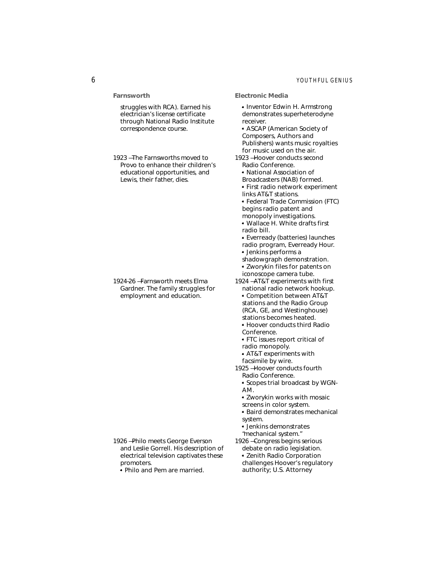# 6 *YOUTHFUL GENIUS*

**Farnsworth**

struggles with RCA). Earned his electrician's license certificate through National Radio Institute correspondence course.

1923 — The Farnsworths moved to Provo to enhance their children's educational opportunities, and Lewis, their father, dies.

1924–26 — Farnsworth meets Elma Gardner. The family struggles for employment and education.

- 1926 Philo meets George Everson and Leslie Gorrell. His description of electrical television captivates these promoters.
	- <sup>l</sup> Philo and Pem are married.

• Inventor Edwin H. Armstrong demonstrates superheterodyne receiver. **ASCAP** (American Society of Composers, Authors and Publishers) wants music royalties for music used on the air. 1923 — Hoover conducts second Radio Conference. • National Association of Broadcasters (NAB) formed. <sup>l</sup> First radio network experiment links AT&T stations. <sup>l</sup> Federal Trade Commission (FTC) begins radio patent and monopoly investigations. <sup>l</sup> Wallace H. White drafts first radio bill. • Everready (batteries) launches radio program, *Everready Hour.* • Jenkins performs a shadowgraph demonstration. <sup>l</sup> Zworykin files for patents on iconoscope camera tube. 1924 — AT&T experiments with first national radio network hookup. <sup>l</sup> Competition between AT&T stations and the Radio Group (RCA, GE, and Westinghouse) stations becomes heated. **• Hoover conducts third Radio** Conference. <sup>l</sup> FTC issues report critical of

**Electronic Media**

- radio monopoly.
- <sup>l</sup> AT&T experiments with
- facsimile by wire.
- 1925 Hoover conducts fourth Radio Conference.
	- l Scopes trial broadcast by WGN-AM.
	- Zworykin works with mosaic
	- screens in color system.
	- <sup>l</sup> Baird demonstrates mechanical system.
	- <sup>l</sup> Jenkins demonstrates
	- "mechanical system."
- 1926 Congress begins serious debate on radio legislation. • Zenith Radio Corporation challenges Hoover's regulatory authority; U.S. Attorney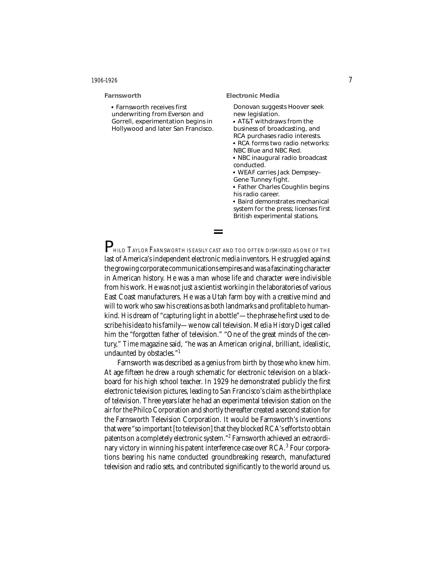#### **Farnsworth**

| • Farnsworth receives first        |
|------------------------------------|
| underwriting from Everson and      |
| Gorrell, experimentation begins in |
| Hollywood and later San Francisco. |

#### **Electronic Media**

Donovan suggests Hoover seek new legislation. • AT&T withdraws from the business of broadcasting, and RCA purchases radio interests. <sup>l</sup> RCA forms two radio networks: NBC Blue and NBC Red. <sup>l</sup> NBC inaugural radio broadcast conducted. <sup>l</sup> WEAF carries Jack Dempsey– Gene Tunney fight. <sup>l</sup> Father Charles Coughlin begins his radio career. <sup>l</sup> Baird demonstrates mechanical system for the press; licenses first British experimental stations.

 $\mathsf{P}_{\text{\tiny{HLO}}\text{}}$  Taylor Farnsworth is easily cast and too often dismissed as one of the last of America's independent electronic media inventors. He struggled against the growing corporate communications empires and was a fascinating character in American history. He was a man whose life and character were indivisible from his work. He was not just a scientist working in the laboratories of various East Coast manufacturers. He was a Utah farm boy with a creative mind and will to work who saw his creations as both landmarks and profitable to humankind. His dream of "capturing light in a bottle"—the phrase he first used to describe his idea to his family—we now call television. *Media History Digest* called him the "forgotten father of television." "One of the great minds of the century," *Time* magazine said, "he was an American original, brilliant, idealistic, undaunted by obstacles."<sup>1</sup>

Farnsworth was described as a genius from birth by those who knew him. At age fifteen he drew a rough schematic for electronic television on a blackboard for his high school teacher. In 1929 he demonstrated publicly the first electronic television pictures, leading to San Francisco's claim as the birthplace of television. Three years later he had an experimental television station on the air for the Philco Corporation and shortly thereafter created a second station for the Farnsworth Television Corporation. It would be Farnsworth's inventions that were "so important [to television] that they blocked RCA's efforts to obtain patents on a completely electronic system."<sup>2</sup> Farnsworth achieved an extraordinary victory in winning his patent interference case over RCA.<sup>3</sup> Four corporations bearing his name conducted groundbreaking research, manufactured television and radio sets, and contributed significantly to the world around us.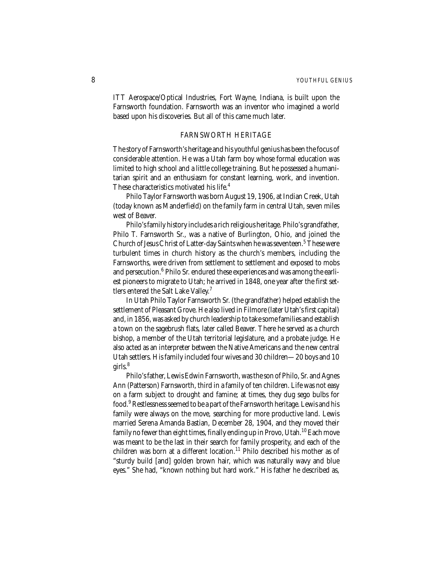ITT Aerospace/Optical Industries, Fort Wayne, Indiana, is built upon the Farnsworth foundation. Farnsworth was an inventor who imagined a world based upon his discoveries. But all of this came much later.

# FARNSWORTH HERITAGE

The story of Farnsworth's heritage and his youthful genius has been the focus of considerable attention. He was a Utah farm boy whose formal education was limited to high school and a little college training. But he possessed a humanitarian spirit and an enthusiasm for constant learning, work, and invention. These characteristics motivated his life.<sup>4</sup>

Philo Taylor Farnsworth was born August 19, 1906, at Indian Creek, Utah (today known as Manderfield) on the family farm in central Utah, seven miles west of Beaver.

Philo's family history includes a rich religious heritage. Philo's grandfather, Philo T. Farnsworth Sr., was a native of Burlington, Ohio, and joined the Church of Jesus Christ of Latter-day Saints when he was seventeen.<sup>5</sup> These were turbulent times in church history as the church's members, including the Farnsworths, were driven from settlement to settlement and exposed to mobs and persecution.<sup>6</sup> Philo Sr. endured these experiences and was among the earliest pioneers to migrate to Utah; he arrived in 1848, one year after the first settlers entered the Salt Lake Valley.<sup>7</sup>

In Utah Philo Taylor Farnsworth Sr. (the grandfather) helped establish the settlement of Pleasant Grove. He also lived in Filmore (later Utah's first capital) and, in 1856, was asked by church leadership to take some families and establish a town on the sagebrush flats, later called Beaver. There he served as a church bishop, a member of the Utah territorial legislature, and a probate judge. He also acted as an interpreter between the Native Americans and the new central Utah settlers. His family included four wives and 30 children—20 boys and 10 girls. $8$ 

Philo's father, Lewis Edwin Farnsworth, was the son of Philo, Sr. and Agnes Ann (Patterson) Farnsworth, third in a family of ten children. Life was not easy on a farm subject to drought and famine; at times, they dug sego bulbs for food.<sup>9</sup> Restlessness seemed to be a part of the Farnsworth heritage. Lewis and his family were always on the move, searching for more productive land. Lewis married Serena Amanda Bastian, December 28, 1904, and they moved their family no fewer than eight times, finally ending up in Provo, Utah.<sup>10</sup> Each move was meant to be the last in their search for family prosperity, and each of the children was born at a different location.<sup>11</sup> Philo described his mother as of "sturdy build [and] golden brown hair, which was naturally wavy and blue eyes." She had, "known nothing but hard work." His father he described as,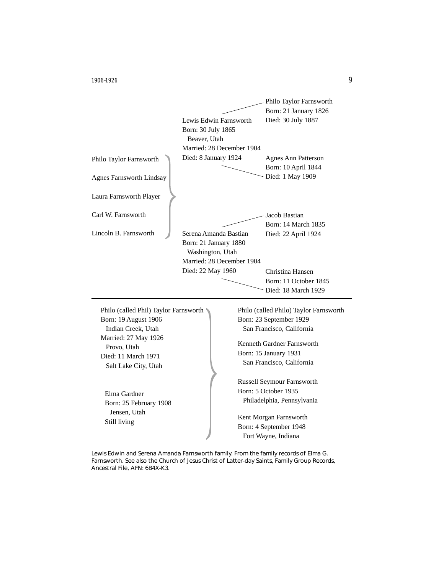

Elma Gardner Born: 25 February 1908 Jensen, Utah Still living

Russell Seymour Farnsworth Born: 5 October 1935 Philadelphia, Pennsylvania

Kent Morgan Farnsworth Born: 4 September 1948 Fort Wayne, Indiana

Lewis Edwin and Serena Amanda Farnsworth family. From the family records of Elma G. Farnsworth. See also the Church of Jesus Christ of Latter-day Saints, Family Group Records, Ancestral File, AFN: 6B4X-K3.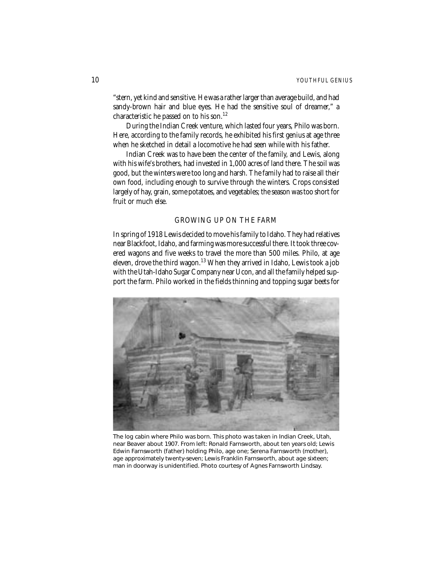"stern, yet kind and sensitive. He was a rather larger than average build, and had sandy-brown hair and blue eyes. He had the sensitive soul of dreamer," a characteristic he passed on to his son.<sup>12</sup>

During the Indian Creek venture, which lasted four years, Philo was born. Here, according to the family records, he exhibited his first genius at age three when he sketched in detail a locomotive he had seen while with his father.

Indian Creek was to have been the center of the family, and Lewis, along with his wife's brothers, had invested in 1,000 acres of land there. The soil was good, but the winters were too long and harsh. The family had to raise all their own food, including enough to survive through the winters. Crops consisted largely of hay, grain, some potatoes, and vegetables; the season was too short for fruit or much else.

# GROWING UP ON THE FARM

In spring of 1918 Lewis decided to move his family to Idaho. They had relatives near Blackfoot, Idaho, and farming was more successful there. It took three covered wagons and five weeks to travel the more than 500 miles. Philo, at age eleven, drove the third wagon.<sup>13</sup> When they arrived in Idaho, Lewis took a job with the Utah-Idaho Sugar Company near Ucon, and all the family helped support the farm. Philo worked in the fields thinning and topping sugar beets for



The log cabin where Philo was born. This photo was taken in Indian Creek, Utah, near Beaver about 1907. From left: Ronald Farnsworth, about ten years old; Lewis Edwin Farnsworth (father) holding Philo, age one; Serena Farnsworth (mother), age approximately twenty-seven; Lewis Franklin Farnsworth, about age sixteen; man in doorway is unidentified. Photo courtesy of Agnes Farnsworth Lindsay.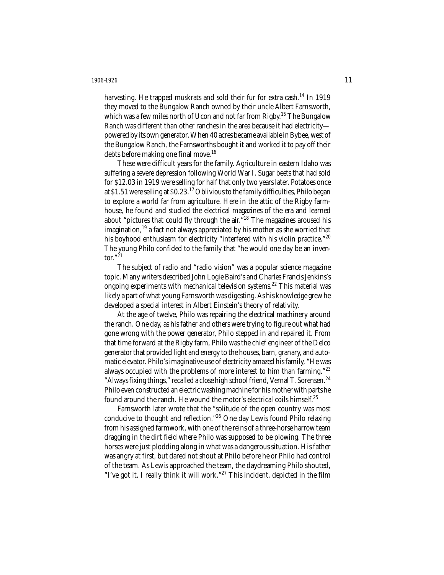harvesting. He trapped muskrats and sold their fur for extra cash.<sup>14</sup> In 1919 they moved to the Bungalow Ranch owned by their uncle Albert Farnsworth, which was a few miles north of Ucon and not far from Rigby.<sup>15</sup> The Bungalow Ranch was different than other ranches in the area because it had electricity powered by its own generator. When 40 acres became available in Bybee, west of the Bungalow Ranch, the Farnsworths bought it and worked it to pay off their debts before making one final move.<sup>16</sup>

These were difficult years for the family. Agriculture in eastern Idaho was suffering a severe depression following World War I. Sugar beets that had sold for \$12.03 in 1919 were selling for half that only two years later. Potatoes once at \$1.51 were selling at \$0.23.<sup>17</sup> Oblivious to the family difficulties, Philo began to explore a world far from agriculture. Here in the attic of the Rigby farmhouse, he found and studied the electrical magazines of the era and learned about "pictures that could fly through the air. $\frac{18}{18}$  The magazines aroused his imagination, $19$  a fact not always appreciated by his mother as she worried that his boyhood enthusiasm for electricity "interfered with his violin practice."<sup>20</sup> The young Philo confided to the family that "he would one day be an inventor." $21$ 

The subject of radio and "radio vision" was a popular science magazine topic. Many writers described John Logie Baird's and Charles Francis Jenkins's ongoing experiments with mechanical television systems.<sup>22</sup> This material was likely a part of what young Farnsworth was digesting. As his knowledge grew he developed a special interest in Albert Einstein's theory of relativity.

At the age of twelve, Philo was repairing the electrical machinery around the ranch. One day, as his father and others were trying to figure out what had gone wrong with the power generator, Philo stepped in and repaired it. From that time forward at the Rigby farm, Philo was the chief engineer of the Delco generator that provided light and energy to the houses, barn, granary, and automatic elevator. Philo's imaginative use of electricity amazed his family, "He was always occupied with the problems of more interest to him than farming."<sup>23</sup> "Always fixing things," recalled a close high school friend, Vernal T. Sorensen.<sup>24</sup> Philo even constructed an electric washing machine for his mother with parts he found around the ranch. He wound the motor's electrical coils himself.<sup>25</sup>

Farnsworth later wrote that the "solitude of the open country was most conducive to thought and reflection."<sup>26</sup> One day Lewis found Philo relaxing from his assigned farmwork, with one of the reins of a three-horse harrow team dragging in the dirt field where Philo was supposed to be plowing. The three horses were just plodding along in what was a dangerous situation. His father was angry at first, but dared not shout at Philo before he or Philo had control of the team. As Lewis approached the team, the daydreaming Philo shouted, "I've got it. I really think it will work." $27$  This incident, depicted in the film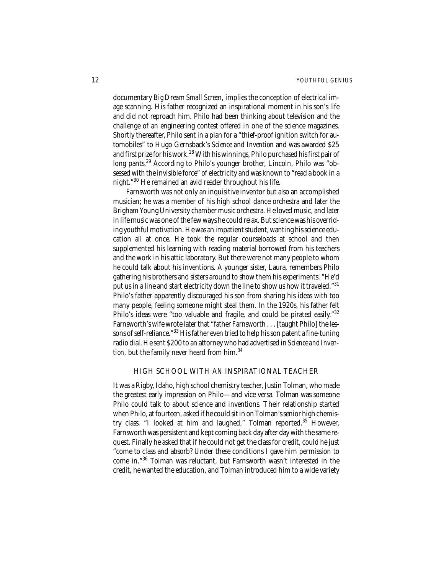documentary *Big Dream Small Screen,* implies the conception of electrical image scanning. His father recognized an inspirational moment in his son's life and did not reproach him. Philo had been thinking about television and the challenge of an engineering contest offered in one of the science magazines. Shortly thereafter, Philo sent in a plan for a "thief-proof ignition switch for automobiles" to Hugo Gernsback's *Science and Invention* and was awarded \$25 and first prize for his work.<sup>28</sup> With his winnings, Philo purchased his first pair of long pants.<sup>29</sup> According to Philo's younger brother, Lincoln, Philo was "obsessed with the invisible force" of electricity and was known to "read a book in a night."<sup>30</sup> He remained an avid reader throughout his life.

Farnsworth was not only an inquisitive inventor but also an accomplished musician; he was a member of his high school dance orchestra and later the Brigham Young University chamber music orchestra. He loved music, and later in life music was one of the few ways he could relax. But science was his overriding youthful motivation. He was an impatient student, wanting his science education all at once. He took the regular courseloads at school and then supplemented his learning with reading material borrowed from his teachers and the work in his attic laboratory. But there were not many people to whom he could talk about his inventions. A younger sister, Laura, remembers Philo gathering his brothers and sisters around to show them his experiments: "He'd put us in a line and start electricity down the line to show us how it traveled."<sup>31</sup> Philo's father apparently discouraged his son from sharing his ideas with too many people, feeling someone might steal them. In the 1920s, his father felt Philo's ideas were "too valuable and fragile, and could be pirated easily."<sup>32</sup> Farnsworth's wife wrote later that "father Farnsworth . . . [taught Philo] the lessons of self-reliance."<sup>33</sup> His father even tried to help his son patent a fine-tuning radio dial. He sent \$200 to an attorney who had advertised in *Science and Invention*, but the family never heard from him.<sup>34</sup>

# HIGH SCHOOL WITH AN INSPIRATIONAL TEACHER

It was a Rigby, Idaho, high school chemistry teacher, Justin Tolman, who made the greatest early impression on Philo—and vice versa. Tolman was someone Philo could talk to about science and inventions. Their relationship started when Philo, at fourteen, asked if he could sit in on Tolman's senior high chemistry class. "I looked at him and laughed," Tolman reported.<sup>35</sup> However, Farnsworth was persistent and kept coming back day after day with the same request. Finally he asked that if he could not get the class for credit, could he just "come to class and absorb? Under these conditions I gave him permission to come in."<sup>36</sup> Tolman was reluctant, but Farnsworth wasn't interested in the credit, he wanted the education, and Tolman introduced him to a wide variety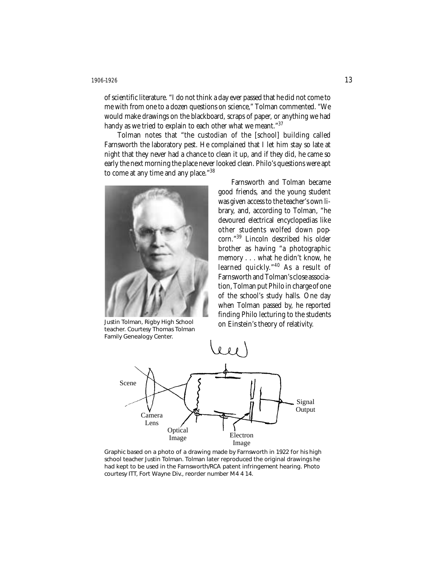of scientific literature. "I do not think a day ever passed that he did not come to me with from one to a dozen questions on science," Tolman commented. "We would make drawings on the blackboard, scraps of paper, or anything we had handy as we tried to explain to each other what we meant."<sup>37</sup>

Tolman notes that "the custodian of the [school] building called Farnsworth the laboratory pest. He complained that I let him stay so late at night that they never had a chance to clean it up, and if they did, he came so early the next morning the place never looked clean. Philo's questions were apt to come at any time and any place."<sup>38</sup>



Justin Tolman, Rigby High School teacher. Courtesy Thomas Tolman Family Genealogy Center.

Farnsworth and Tolman became good friends, and the young student was given access to the teacher's own library, and, according to Tolman, "he devoured electrical encyclopedias like other students wolfed down popcorn."<sup>39</sup> Lincoln described his older brother as having "a photographic memory... what he didn't know, he learned quickly."<sup>40</sup> As a result of Farnsworth and Tolman's close association, Tolman put Philo in charge of one of the school's study halls. One day when Tolman passed by, he reported finding Philo lecturing to the students on Einstein's theory of relativity.



Graphic based on a photo of a drawing made by Farnsworth in 1922 for his high school teacher Justin Tolman. Tolman later reproduced the original drawings he had kept to be used in the Farnsworth/RCA patent infringement hearing. Photo courtesy ITT, Fort Wayne Div., reorder number M4 4 14.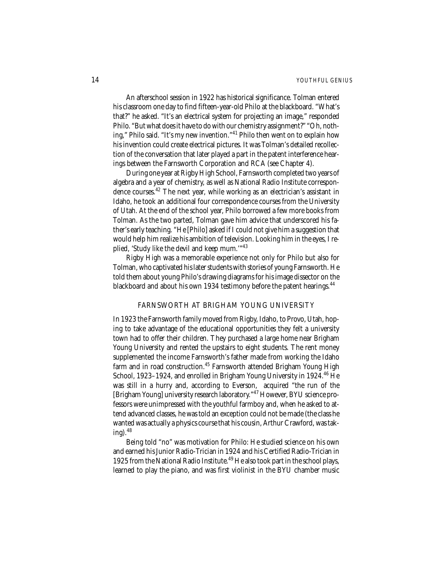An afterschool session in 1922 has historical significance. Tolman entered his classroom one day to find fifteen-year-old Philo at the blackboard. "What's that?" he asked. "It's an electrical system for projecting an image," responded Philo. "But what does it have to do with our chemistry assignment?" "Oh, nothing," Philo said. "It's my new invention."<sup>41</sup> Philo then went on to explain how his invention could create electrical pictures. It was Tolman's detailed recollection of the conversation that later played a part in the patent interference hearings between the Farnsworth Corporation and RCA (see Chapter 4).

During one year at Rigby High School, Farnsworth completed two years of algebra and a year of chemistry, as well as National Radio Institute correspondence courses.<sup>42</sup> The next year, while working as an electrician's assistant in Idaho, he took an additional four correspondence courses from the University of Utah. At the end of the school year, Philo borrowed a few more books from Tolman. As the two parted, Tolman gave him advice that underscored his father's early teaching. "He [Philo] asked if I could not give him a suggestion that would help him realize his ambition of television. Looking him in the eyes, I replied, 'Study like the devil and keep mum.'"<sup>43</sup>

Rigby High was a memorable experience not only for Philo but also for Tolman, who captivated his later students with stories of young Farnsworth. He told them about young Philo's drawing diagrams for his image dissector on the blackboard and about his own 1934 testimony before the patent hearings.<sup>44</sup>

# FARNSWORTH AT BRIGHAM YOUNG UNIVERSITY

In 1923 the Farnsworth family moved from Rigby, Idaho, to Provo, Utah, hoping to take advantage of the educational opportunities they felt a university town had to offer their children. They purchased a large home near Brigham Young University and rented the upstairs to eight students. The rent money supplemented the income Farnsworth's father made from working the Idaho farm and in road construction.<sup>45</sup> Farnsworth attended Brigham Young High School, 1923-1924, and enrolled in Brigham Young University in 1924.<sup>46</sup> He was still in a hurry and, according to Everson, acquired "the run of the [Brigham Young] university research laboratory."<sup>47</sup> However, BYU science professors were unimpressed with the youthful farmboy and, when he asked to attend advanced classes, he was told an exception could not be made (the class he wanted was actually a physics course that his cousin, Arthur Crawford, was taking). $48$ 

Being told "no" was motivation for Philo: He studied science on his own and earned his Junior Radio-Trician in 1924 and his Certified Radio-Trician in 1925 from the National Radio Institute.<sup>49</sup> He also took part in the school plays, learned to play the piano, and was first violinist in the BYU chamber music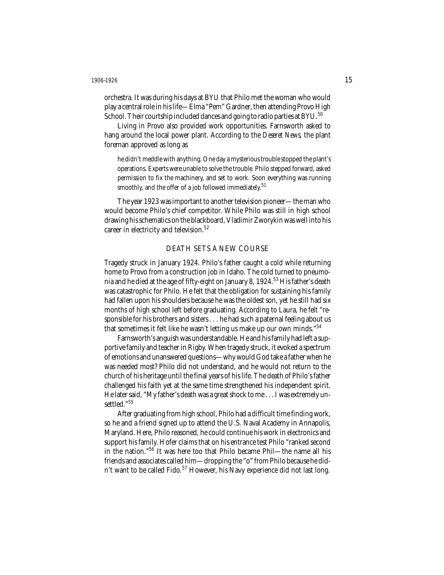orchestra. It was during his days at BYU that Philo met the woman who would play a central role in his life—Elma "Pem" Gardner, then attending Provo High School. Their courtship included dances and going to radio parties at BYU.<sup>50</sup>

Living in Provo also provided work opportunities. Farnsworth asked to hang around the local power plant. According to the *Deseret News,* the plant foreman approved as long as

he didn't meddle with anything. One day a mysterious trouble stopped the plant's operations. Experts were unable to solve the trouble. Philo stepped forward, asked permission to fix the machinery, and set to work. Soon everything was running smoothly, and the offer of a job followed immediately.<sup>51</sup>

The year 1923 was important to another television pioneer—the man who would become Philo's chief competitor. While Philo was still in high school drawing his schematics on the blackboard, Vladimir Zworykin was well into his career in electricity and television.<sup>52</sup>

# DEATH SETS A NEW COURSE

Tragedy struck in January 1924. Philo's father caught a cold while returning home to Provo from a construction job in Idaho. The cold turned to pneumonia and he died at the age of fifty-eight on January 8, 1924.<sup>53</sup> His father's death was catastrophic for Philo. He felt that the obligation for sustaining his family had fallen upon his shoulders because he was the oldest son, yet he still had six months of high school left before graduating. According to Laura, he felt "responsible for his brothers and sisters . . . he had such a paternal feeling about us that sometimes it felt like he wasn't letting us make up our own minds."<sup>54</sup>

Farnsworth's anguish was understandable. He and his family had left a supportive family and teacher in Rigby. When tragedy struck, it evoked a spectrum of emotions and unanswered questions—why would God take a father when he was needed most? Philo did not understand, and he would not return to the church of his heritage until the final years of his life. The death of Philo's father challenged his faith yet at the same time strengthened his independent spirit. He later said, "My father's death was a great shock to me... I was extremely unsettled."<sup>55</sup>

After graduating from high school, Philo had a difficult time finding work, so he and a friend signed up to attend the U.S. Naval Academy in Annapolis, Maryland. Here, Philo reasoned, he could continue his work in electronics and support his family. Hofer claims that on his entrance test Philo "ranked second in the nation."<sup>56</sup> It was here too that Philo became Phil—the name all his friends and associates called him—dropping the "o" from Philo because he didn't want to be called Fido.<sup>57</sup> However, his Navy experience did not last long.